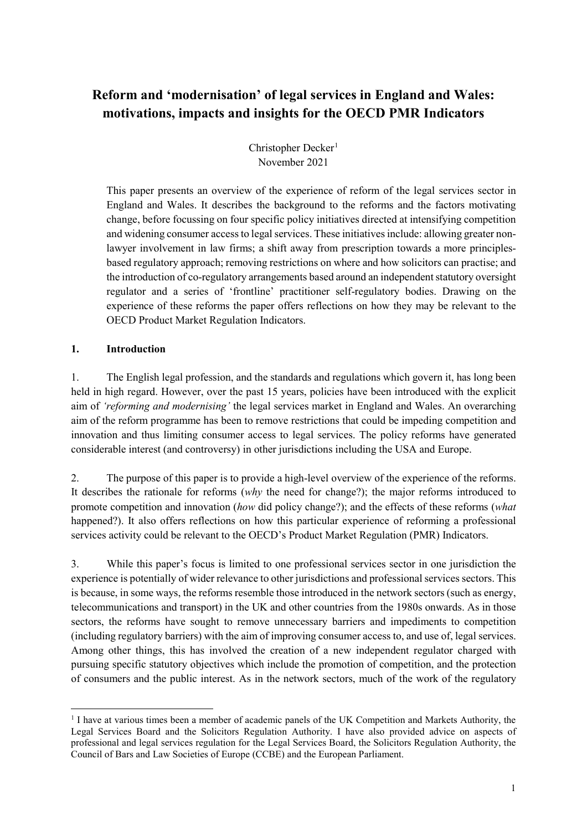# **Reform and 'modernisation' of legal services in England and Wales: motivations, impacts and insights for the OECD PMR Indicators**

Christopher Decker<sup>[1](#page-0-0)</sup> November 2021

This paper presents an overview of the experience of reform of the legal services sector in England and Wales. It describes the background to the reforms and the factors motivating change, before focussing on four specific policy initiatives directed at intensifying competition and widening consumer access to legal services. These initiatives include: allowing greater nonlawyer involvement in law firms; a shift away from prescription towards a more principlesbased regulatory approach; removing restrictions on where and how solicitors can practise; and the introduction of co-regulatory arrangements based around an independent statutory oversight regulator and a series of 'frontline' practitioner self-regulatory bodies. Drawing on the experience of these reforms the paper offers reflections on how they may be relevant to the OECD Product Market Regulation Indicators.

#### **1. Introduction**

1. The English legal profession, and the standards and regulations which govern it, has long been held in high regard. However, over the past 15 years, policies have been introduced with the explicit aim of *'reforming and modernising'* the legal services market in England and Wales. An overarching aim of the reform programme has been to remove restrictions that could be impeding competition and innovation and thus limiting consumer access to legal services. The policy reforms have generated considerable interest (and controversy) in other jurisdictions including the USA and Europe.

2. The purpose of this paper is to provide a high-level overview of the experience of the reforms. It describes the rationale for reforms (*why* the need for change?); the major reforms introduced to promote competition and innovation (*how* did policy change?); and the effects of these reforms (*what* happened?). It also offers reflections on how this particular experience of reforming a professional services activity could be relevant to the OECD's Product Market Regulation (PMR) Indicators.

3. While this paper's focus is limited to one professional services sector in one jurisdiction the experience is potentially of wider relevance to other jurisdictions and professional services sectors. This is because, in some ways, the reforms resemble those introduced in the network sectors (such as energy, telecommunications and transport) in the UK and other countries from the 1980s onwards. As in those sectors, the reforms have sought to remove unnecessary barriers and impediments to competition (including regulatory barriers) with the aim of improving consumer access to, and use of, legal services. Among other things, this has involved the creation of a new independent regulator charged with pursuing specific statutory objectives which include the promotion of competition, and the protection of consumers and the public interest. As in the network sectors, much of the work of the regulatory

<span id="page-0-0"></span><sup>&</sup>lt;sup>1</sup> I have at various times been a member of academic panels of the UK Competition and Markets Authority, the Legal Services Board and the Solicitors Regulation Authority. I have also provided advice on aspects of professional and legal services regulation for the Legal Services Board, the Solicitors Regulation Authority, the Council of Bars and Law Societies of Europe (CCBE) and the European Parliament.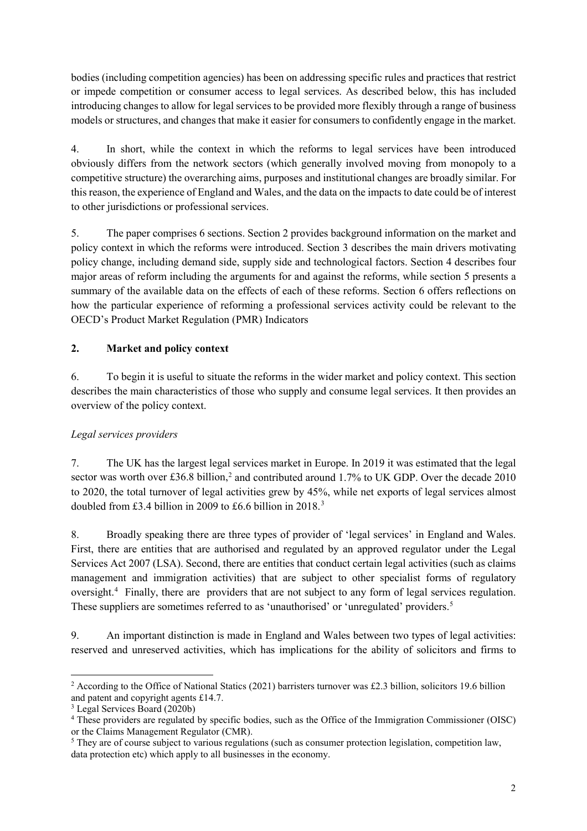bodies (including competition agencies) has been on addressing specific rules and practices that restrict or impede competition or consumer access to legal services. As described below, this has included introducing changes to allow for legal services to be provided more flexibly through a range of business models or structures, and changes that make it easier for consumers to confidently engage in the market.

4. In short, while the context in which the reforms to legal services have been introduced obviously differs from the network sectors (which generally involved moving from monopoly to a competitive structure) the overarching aims, purposes and institutional changes are broadly similar. For this reason, the experience of England and Wales, and the data on the impacts to date could be of interest to other jurisdictions or professional services.

5. The paper comprises 6 sections. Section 2 provides background information on the market and policy context in which the reforms were introduced. Section 3 describes the main drivers motivating policy change, including demand side, supply side and technological factors. Section 4 describes four major areas of reform including the arguments for and against the reforms, while section 5 presents a summary of the available data on the effects of each of these reforms. Section 6 offers reflections on how the particular experience of reforming a professional services activity could be relevant to the OECD's Product Market Regulation (PMR) Indicators

## **2. Market and policy context**

6. To begin it is useful to situate the reforms in the wider market and policy context. This section describes the main characteristics of those who supply and consume legal services. It then provides an overview of the policy context.

## *Legal services providers*

7. The UK has the largest legal services market in Europe. In 2019 it was estimated that the legal sector was worth over £36.8 billion,<sup>[2](#page-1-0)</sup> and contributed around 1.7% to UK GDP. Over the decade 2010 to 2020, the total turnover of legal activities grew by 45%, while net exports of legal services almost doubled from £[3](#page-1-1).4 billion in 2009 to £6.6 billion in 2018.<sup>3</sup>

8. Broadly speaking there are three types of provider of 'legal services' in England and Wales. First, there are entities that are authorised and regulated by an approved regulator under the Legal Services Act 2007 (LSA). Second, there are entities that conduct certain legal activities (such as claims management and immigration activities) that are subject to other specialist forms of regulatory oversight.<sup>[4](#page-1-2)</sup> Finally, there are providers that are not subject to any form of legal services regulation. These suppliers are sometimes referred to as 'unauthorised' or 'unregulated' providers.<sup>[5](#page-1-3)</sup>

9. An important distinction is made in England and Wales between two types of legal activities: reserved and unreserved activities, which has implications for the ability of solicitors and firms to

<span id="page-1-0"></span><sup>&</sup>lt;sup>2</sup> According to the Office of National Statics (2021) barristers turnover was £2.3 billion, solicitors 19.6 billion and patent and copyright agents £14.7.

<span id="page-1-1"></span><sup>3</sup> Legal Services Board (2020b)

<span id="page-1-2"></span><sup>4</sup> These providers are regulated by specific bodies, such as the Office of the Immigration Commissioner (OISC) or the Claims Management Regulator (CMR).

<span id="page-1-3"></span><sup>&</sup>lt;sup>5</sup> They are of course subject to various regulations (such as consumer protection legislation, competition law, data protection etc) which apply to all businesses in the economy.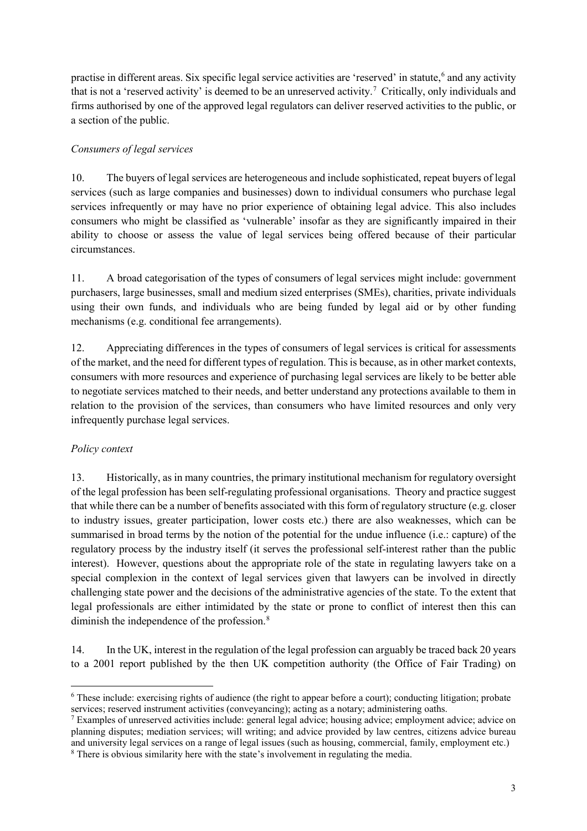practise in different areas. Six specific legal service activities are 'reserved' in statute, [6](#page-2-0) and any activity that is not a 'reserved activity' is deemed to be an unreserved activity.[7](#page-2-1) Critically, only individuals and firms authorised by one of the approved legal regulators can deliver reserved activities to the public, or a section of the public.

#### *Consumers of legal services*

10. The buyers of legal services are heterogeneous and include sophisticated, repeat buyers of legal services (such as large companies and businesses) down to individual consumers who purchase legal services infrequently or may have no prior experience of obtaining legal advice. This also includes consumers who might be classified as 'vulnerable' insofar as they are significantly impaired in their ability to choose or assess the value of legal services being offered because of their particular circumstances.

11. A broad categorisation of the types of consumers of legal services might include: government purchasers, large businesses, small and medium sized enterprises (SMEs), charities, private individuals using their own funds, and individuals who are being funded by legal aid or by other funding mechanisms (e.g. conditional fee arrangements).

12. Appreciating differences in the types of consumers of legal services is critical for assessments of the market, and the need for different types of regulation. This is because, as in other market contexts, consumers with more resources and experience of purchasing legal services are likely to be better able to negotiate services matched to their needs, and better understand any protections available to them in relation to the provision of the services, than consumers who have limited resources and only very infrequently purchase legal services.

#### *Policy context*

13. Historically, as in many countries, the primary institutional mechanism for regulatory oversight of the legal profession has been self-regulating professional organisations. Theory and practice suggest that while there can be a number of benefits associated with this form of regulatory structure (e.g. closer to industry issues, greater participation, lower costs etc.) there are also weaknesses, which can be summarised in broad terms by the notion of the potential for the undue influence (i.e.: capture) of the regulatory process by the industry itself (it serves the professional self-interest rather than the public interest). However, questions about the appropriate role of the state in regulating lawyers take on a special complexion in the context of legal services given that lawyers can be involved in directly challenging state power and the decisions of the administrative agencies of the state. To the extent that legal professionals are either intimidated by the state or prone to conflict of interest then this can diminish the independence of the profession.<sup>[8](#page-2-2)</sup>

14. In the UK, interest in the regulation of the legal profession can arguably be traced back 20 years to a 2001 report published by the then UK competition authority (the Office of Fair Trading) on

<span id="page-2-0"></span> <sup>6</sup> These include: exercising rights of audience (the right to appear before a court); conducting litigation; probate services; reserved instrument activities (conveyancing); acting as a notary; administering oaths.

<span id="page-2-2"></span><span id="page-2-1"></span><sup>&</sup>lt;sup>7</sup> Examples of unreserved activities include: general legal advice; housing advice; employment advice; advice on planning disputes; mediation services; will writing; and advice provided by law centres, citizens advice bureau and university legal services on a range of legal issues (such as housing, commercial, family, employment etc.) <sup>8</sup> There is obvious similarity here with the state's involvement in regulating the media.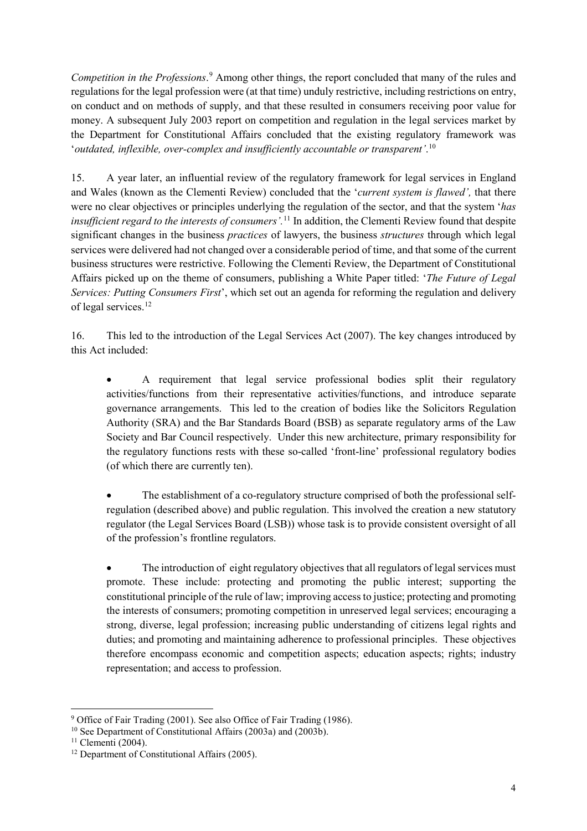*Competition in the Professions*. [9](#page-3-0) Among other things, the report concluded that many of the rules and regulations for the legal profession were (at that time) unduly restrictive, including restrictions on entry, on conduct and on methods of supply, and that these resulted in consumers receiving poor value for money. A subsequent July 2003 report on competition and regulation in the legal services market by the Department for Constitutional Affairs concluded that the existing regulatory framework was '*outdated, inflexible, over-complex and insufficiently accountable or transparent'*. [10](#page-3-1) 

15. A year later, an influential review of the regulatory framework for legal services in England and Wales (known as the Clementi Review) concluded that the '*current system is flawed',* that there were no clear objectives or principles underlying the regulation of the sector, and that the system '*has insufficient regard to the interests of consumers'.*[11](#page-3-2) In addition, the Clementi Review found that despite significant changes in the business *practices* of lawyers, the business *structures* through which legal services were delivered had not changed over a considerable period of time, and that some of the current business structures were restrictive. Following the Clementi Review, the Department of Constitutional Affairs picked up on the theme of consumers, publishing a White Paper titled: '*The Future of Legal Services: Putting Consumers First*', which set out an agenda for reforming the regulation and delivery of legal services.[12](#page-3-3) 

16. This led to the introduction of the Legal Services Act (2007). The key changes introduced by this Act included:

• A requirement that legal service professional bodies split their regulatory activities/functions from their representative activities/functions, and introduce separate governance arrangements. This led to the creation of bodies like the Solicitors Regulation Authority (SRA) and the Bar Standards Board (BSB) as separate regulatory arms of the Law Society and Bar Council respectively. Under this new architecture, primary responsibility for the regulatory functions rests with these so-called 'front-line' professional regulatory bodies (of which there are currently ten).

• The establishment of a co-regulatory structure comprised of both the professional selfregulation (described above) and public regulation. This involved the creation a new statutory regulator (the Legal Services Board (LSB)) whose task is to provide consistent oversight of all of the profession's frontline regulators.

The introduction of eight regulatory objectives that all regulators of legal services must promote. These include: protecting and promoting the public interest; supporting the constitutional principle of the rule of law; improving access to justice; protecting and promoting the interests of consumers; promoting competition in unreserved legal services; encouraging a strong, diverse, legal profession; increasing public understanding of citizens legal rights and duties; and promoting and maintaining adherence to professional principles. These objectives therefore encompass economic and competition aspects; education aspects; rights; industry representation; and access to profession.

<span id="page-3-0"></span><sup>&</sup>lt;sup>9</sup> Office of Fair Trading (2001). See also Office of Fair Trading (1986).

<span id="page-3-2"></span><span id="page-3-1"></span><sup>&</sup>lt;sup>10</sup> See Department of Constitutional Affairs (2003a) and (2003b).<br><sup>11</sup> Clementi (2004).

<span id="page-3-3"></span><sup>&</sup>lt;sup>12</sup> Department of Constitutional Affairs (2005).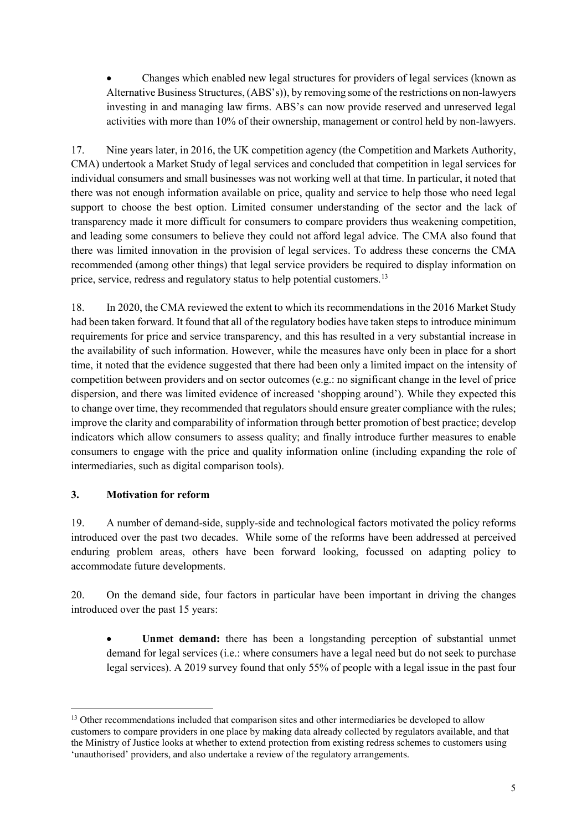• Changes which enabled new legal structures for providers of legal services (known as Alternative Business Structures, (ABS's)), by removing some of the restrictions on non-lawyers investing in and managing law firms. ABS's can now provide reserved and unreserved legal activities with more than 10% of their ownership, management or control held by non-lawyers.

17. Nine years later, in 2016, the UK competition agency (the Competition and Markets Authority, CMA) undertook a Market Study of legal services and concluded that competition in legal services for individual consumers and small businesses was not working well at that time. In particular, it noted that there was not enough information available on price, quality and service to help those who need legal support to choose the best option. Limited consumer understanding of the sector and the lack of transparency made it more difficult for consumers to compare providers thus weakening competition, and leading some consumers to believe they could not afford legal advice. The CMA also found that there was limited innovation in the provision of legal services. To address these concerns the CMA recommended (among other things) that legal service providers be required to display information on price, service, redress and regulatory status to help potential customers.<sup>[13](#page-4-0)</sup>

18. In 2020, the CMA reviewed the extent to which its recommendations in the 2016 Market Study had been taken forward. It found that all of the regulatory bodies have taken steps to introduce minimum requirements for price and service transparency, and this has resulted in a very substantial increase in the availability of such information. However, while the measures have only been in place for a short time, it noted that the evidence suggested that there had been only a limited impact on the intensity of competition between providers and on sector outcomes (e.g.: no significant change in the level of price dispersion, and there was limited evidence of increased 'shopping around'). While they expected this to change over time, they recommended that regulators should ensure greater compliance with the rules; improve the clarity and comparability of information through better promotion of best practice; develop indicators which allow consumers to assess quality; and finally introduce further measures to enable consumers to engage with the price and quality information online (including expanding the role of intermediaries, such as digital comparison tools).

## **3. Motivation for reform**

19. A number of demand-side, supply-side and technological factors motivated the policy reforms introduced over the past two decades. While some of the reforms have been addressed at perceived enduring problem areas, others have been forward looking, focussed on adapting policy to accommodate future developments.

20. On the demand side, four factors in particular have been important in driving the changes introduced over the past 15 years:

• **Unmet demand:** there has been a longstanding perception of substantial unmet demand for legal services (i.e.: where consumers have a legal need but do not seek to purchase legal services). A 2019 survey found that only 55% of people with a legal issue in the past four

<span id="page-4-0"></span><sup>&</sup>lt;sup>13</sup> Other recommendations included that comparison sites and other intermediaries be developed to allow customers to compare providers in one place by making data already collected by regulators available, and that the Ministry of Justice looks at whether to extend protection from existing redress schemes to customers using 'unauthorised' providers, and also undertake a review of the regulatory arrangements.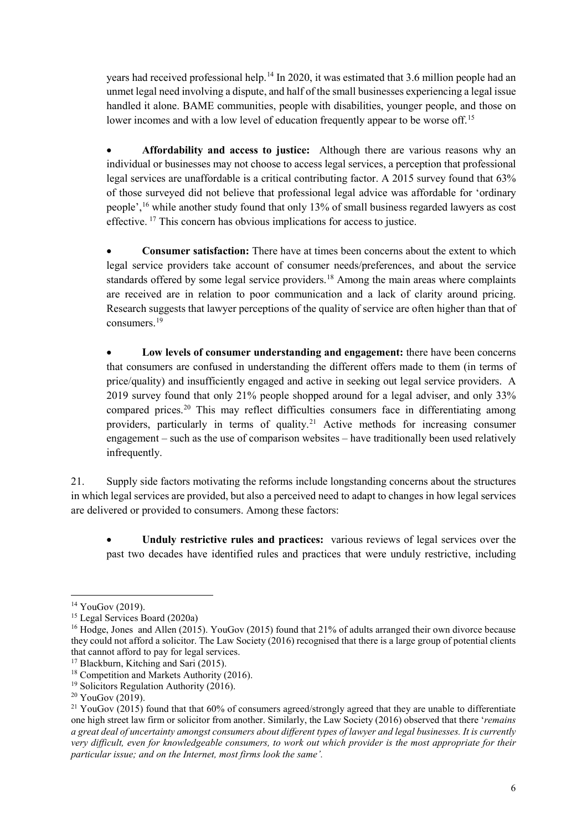years had received professional help.<sup>[14](#page-5-0)</sup> In 2020, it was estimated that 3.6 million people had an unmet legal need involving a dispute, and half of the small businesses experiencing a legal issue handled it alone. BAME communities, people with disabilities, younger people, and those on lower incomes and with a low level of education frequently appear to be worse off.<sup>[15](#page-5-1)</sup>

• **Affordability and access to justice:** Although there are various reasons why an individual or businesses may not choose to access legal services, a perception that professional legal services are unaffordable is a critical contributing factor. A 2015 survey found that 63% of those surveyed did not believe that professional legal advice was affordable for 'ordinary people', [16](#page-5-2) while another study found that only 13% of small business regarded lawyers as cost effective. [17](#page-5-3) This concern has obvious implications for access to justice.

• **Consumer satisfaction:** There have at times been concerns about the extent to which legal service providers take account of consumer needs/preferences, and about the service standards offered by some legal service providers.<sup>[18](#page-5-4)</sup> Among the main areas where complaints are received are in relation to poor communication and a lack of clarity around pricing. Research suggests that lawyer perceptions of the quality of service are often higher than that of consumers.[19](#page-5-5)

• **Low levels of consumer understanding and engagement:** there have been concerns that consumers are confused in understanding the different offers made to them (in terms of price/quality) and insufficiently engaged and active in seeking out legal service providers. A 2019 survey found that only 21% people shopped around for a legal adviser, and only 33% compared prices.[20](#page-5-6) This may reflect difficulties consumers face in differentiating among providers, particularly in terms of quality.[21](#page-5-7) Active methods for increasing consumer engagement – such as the use of comparison websites – have traditionally been used relatively infrequently.

21. Supply side factors motivating the reforms include longstanding concerns about the structures in which legal services are provided, but also a perceived need to adapt to changes in how legal services are delivered or provided to consumers. Among these factors:

• **Unduly restrictive rules and practices:** various reviews of legal services over the past two decades have identified rules and practices that were unduly restrictive, including

<span id="page-5-0"></span> $14$  YouGov (2019).

<span id="page-5-1"></span><sup>15</sup> Legal Services Board (2020a)

<span id="page-5-2"></span><sup>&</sup>lt;sup>16</sup> Hodge, Jones and Allen (2015). YouGov (2015) found that 21% of adults arranged their own divorce because they could not afford a solicitor. The Law Society (2016) recognised that there is a large group of potential clients that cannot afford to pay for legal services. 17 Blackburn, Kitching and Sari (2015).

<span id="page-5-4"></span><span id="page-5-3"></span><sup>&</sup>lt;sup>18</sup> Competition and Markets Authority (2016).

<span id="page-5-5"></span><sup>&</sup>lt;sup>19</sup> Solicitors Regulation Authority (2016).

<span id="page-5-6"></span><sup>&</sup>lt;sup>20</sup> YouGov (2019).

<span id="page-5-7"></span><sup>&</sup>lt;sup>21</sup> YouGov (2015) found that that 60% of consumers agreed/strongly agreed that they are unable to differentiate one high street law firm or solicitor from another. Similarly, the Law Society (2016) observed that there '*remains a great deal of uncertainty amongst consumers about different types of lawyer and legal businesses. It is currently very difficult, even for knowledgeable consumers, to work out which provider is the most appropriate for their particular issue; and on the Internet, most firms look the same'.*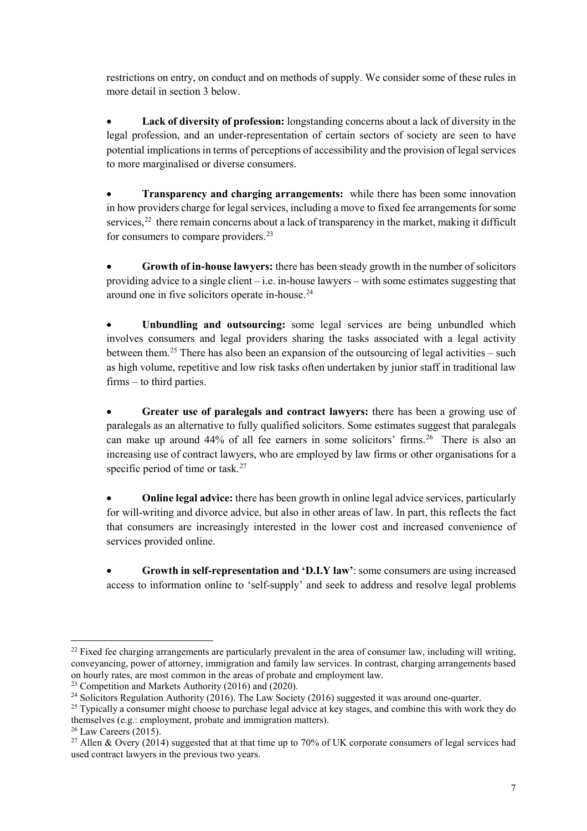restrictions on entry, on conduct and on methods of supply. We consider some of these rules in more detail in section 3 below.

• **Lack of diversity of profession:** longstanding concerns about a lack of diversity in the legal profession, and an under-representation of certain sectors of society are seen to have potential implications in terms of perceptions of accessibility and the provision of legal services to more marginalised or diverse consumers.

• **Transparency and charging arrangements:** while there has been some innovation in how providers charge for legal services, including a move to fixed fee arrangements for some services,<sup>[22](#page-6-0)</sup> there remain concerns about a lack of transparency in the market, making it difficult for consumers to compare providers.<sup>[23](#page-6-1)</sup>

• **Growth of in-house lawyers:** there has been steady growth in the number of solicitors providing advice to a single client – i.e. in-house lawyers – with some estimates suggesting that around one in five solicitors operate in-house.<sup>24</sup>

Unbundling and outsourcing: some legal services are being unbundled which involves consumers and legal providers sharing the tasks associated with a legal activity between them.<sup>[25](#page-6-3)</sup> There has also been an expansion of the outsourcing of legal activities – such as high volume, repetitive and low risk tasks often undertaken by junior staff in traditional law firms – to third parties.

• **Greater use of paralegals and contract lawyers:** there has been a growing use of paralegals as an alternative to fully qualified solicitors. Some estimates suggest that paralegals can make up around  $44\%$  of all fee earners in some solicitors' firms.<sup>26</sup> There is also an increasing use of contract lawyers, who are employed by law firms or other organisations for a specific period of time or task. $27$ 

• **Online legal advice:** there has been growth in online legal advice services, particularly for will-writing and divorce advice, but also in other areas of law. In part, this reflects the fact that consumers are increasingly interested in the lower cost and increased convenience of services provided online.

• **Growth in self-representation and 'D.I.Y law'**: some consumers are using increased access to information online to 'self-supply' and seek to address and resolve legal problems

<span id="page-6-0"></span><sup>&</sup>lt;sup>22</sup> Fixed fee charging arrangements are particularly prevalent in the area of consumer law, including will writing, conveyancing, power of attorney, immigration and family law services. In contrast, charging arrangements based on hourly rates, are most common in the areas of probate and employment law.

<span id="page-6-1"></span><sup>&</sup>lt;sup>23</sup> Competition and Markets Authority (2016) and (2020).

<span id="page-6-2"></span><sup>&</sup>lt;sup>24</sup> Solicitors Regulation Authority (2016). The Law Society (2016) suggested it was around one-quarter.

<span id="page-6-3"></span><sup>&</sup>lt;sup>25</sup> Typically a consumer might choose to purchase legal advice at key stages, and combine this with work they do themselves (e.g.: employment, probate and immigration matters).<br><sup>26</sup> Law Careers (2015).

<span id="page-6-5"></span><span id="page-6-4"></span><sup>&</sup>lt;sup>27</sup> Allen & Overy (2014) suggested that at that time up to 70% of UK corporate consumers of legal services had used contract lawyers in the previous two years.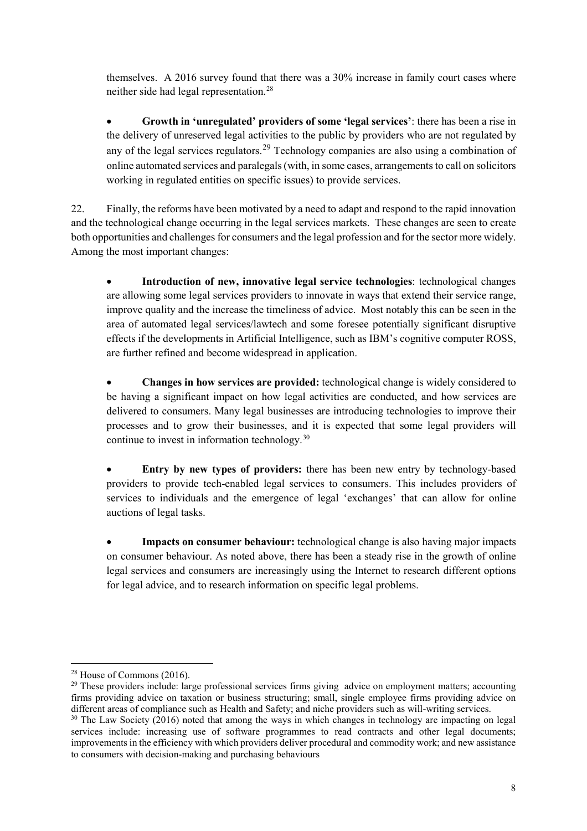themselves. A 2016 survey found that there was a 30% increase in family court cases where neither side had legal representation. [28](#page-7-0)

• **Growth in 'unregulated' providers of some 'legal services'**: there has been a rise in the delivery of unreserved legal activities to the public by providers who are not regulated by any of the legal services regulators.<sup>[29](#page-7-1)</sup> Technology companies are also using a combination of online automated services and paralegals (with, in some cases, arrangements to call on solicitors working in regulated entities on specific issues) to provide services.

22. Finally, the reforms have been motivated by a need to adapt and respond to the rapid innovation and the technological change occurring in the legal services markets. These changes are seen to create both opportunities and challenges for consumers and the legal profession and for the sector more widely. Among the most important changes:

• **Introduction of new, innovative legal service technologies**: technological changes are allowing some legal services providers to innovate in ways that extend their service range, improve quality and the increase the timeliness of advice. Most notably this can be seen in the area of automated legal services/lawtech and some foresee potentially significant disruptive effects if the developments in Artificial Intelligence, such as IBM's cognitive computer ROSS, are further refined and become widespread in application.

• **Changes in how services are provided:** technological change is widely considered to be having a significant impact on how legal activities are conducted, and how services are delivered to consumers. Many legal businesses are introducing technologies to improve their processes and to grow their businesses, and it is expected that some legal providers will continue to invest in information technology.[30](#page-7-2)

• **Entry by new types of providers:** there has been new entry by technology-based providers to provide tech-enabled legal services to consumers. This includes providers of services to individuals and the emergence of legal 'exchanges' that can allow for online auctions of legal tasks.

• **Impacts on consumer behaviour:** technological change is also having major impacts on consumer behaviour. As noted above, there has been a steady rise in the growth of online legal services and consumers are increasingly using the Internet to research different options for legal advice, and to research information on specific legal problems.

<span id="page-7-0"></span> <sup>28</sup> House of Commons (2016).

<span id="page-7-1"></span><sup>&</sup>lt;sup>29</sup> These providers include: large professional services firms giving advice on employment matters; accounting firms providing advice on taxation or business structuring; small, single employee firms providing advice on different areas of compliance such as Health and Safety; and niche providers such as will-writing services.

<span id="page-7-2"></span><sup>&</sup>lt;sup>30</sup> The Law Society (2016) noted that among the ways in which changes in technology are impacting on legal services include: increasing use of software programmes to read contracts and other legal documents; improvements in the efficiency with which providers deliver procedural and commodity work; and new assistance to consumers with decision-making and purchasing behaviours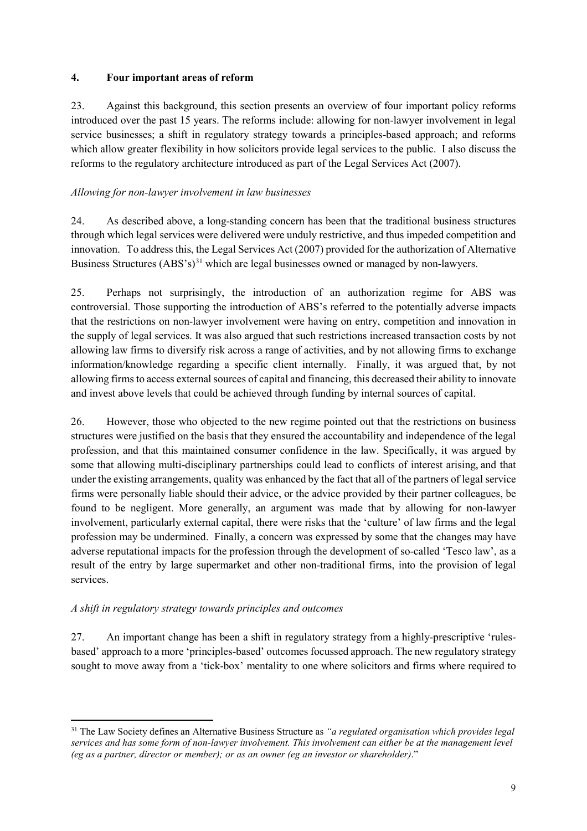#### **4. Four important areas of reform**

23. Against this background, this section presents an overview of four important policy reforms introduced over the past 15 years. The reforms include: allowing for non-lawyer involvement in legal service businesses; a shift in regulatory strategy towards a principles-based approach; and reforms which allow greater flexibility in how solicitors provide legal services to the public. I also discuss the reforms to the regulatory architecture introduced as part of the Legal Services Act (2007).

## *Allowing for non-lawyer involvement in law businesses*

24. As described above, a long-standing concern has been that the traditional business structures through which legal services were delivered were unduly restrictive, and thus impeded competition and innovation. To address this, the Legal Services Act (2007) provided for the authorization of Alternative Business Structures (ABS's)<sup>[31](#page-8-0)</sup> which are legal businesses owned or managed by non-lawyers.

25. Perhaps not surprisingly, the introduction of an authorization regime for ABS was controversial. Those supporting the introduction of ABS's referred to the potentially adverse impacts that the restrictions on non-lawyer involvement were having on entry, competition and innovation in the supply of legal services. It was also argued that such restrictions increased transaction costs by not allowing law firms to diversify risk across a range of activities, and by not allowing firms to exchange information/knowledge regarding a specific client internally. Finally, it was argued that, by not allowing firms to access external sources of capital and financing, this decreased their ability to innovate and invest above levels that could be achieved through funding by internal sources of capital.

26. However, those who objected to the new regime pointed out that the restrictions on business structures were justified on the basis that they ensured the accountability and independence of the legal profession, and that this maintained consumer confidence in the law. Specifically, it was argued by some that allowing multi-disciplinary partnerships could lead to conflicts of interest arising, and that under the existing arrangements, quality was enhanced by the fact that all of the partners of legal service firms were personally liable should their advice, or the advice provided by their partner colleagues, be found to be negligent. More generally, an argument was made that by allowing for non-lawyer involvement, particularly external capital, there were risks that the 'culture' of law firms and the legal profession may be undermined. Finally, a concern was expressed by some that the changes may have adverse reputational impacts for the profession through the development of so-called 'Tesco law', as a result of the entry by large supermarket and other non-traditional firms, into the provision of legal services.

#### *A shift in regulatory strategy towards principles and outcomes*

27. An important change has been a shift in regulatory strategy from a highly-prescriptive 'rulesbased' approach to a more 'principles-based' outcomes focussed approach. The new regulatory strategy sought to move away from a 'tick-box' mentality to one where solicitors and firms where required to

<span id="page-8-0"></span> <sup>31</sup> The Law Society defines an Alternative Business Structure as *"a regulated organisation which provides legal services and has some form of non-lawyer involvement. This involvement can either be at the management level (eg as a partner, director or member); or as an owner (eg an investor or shareholder)*."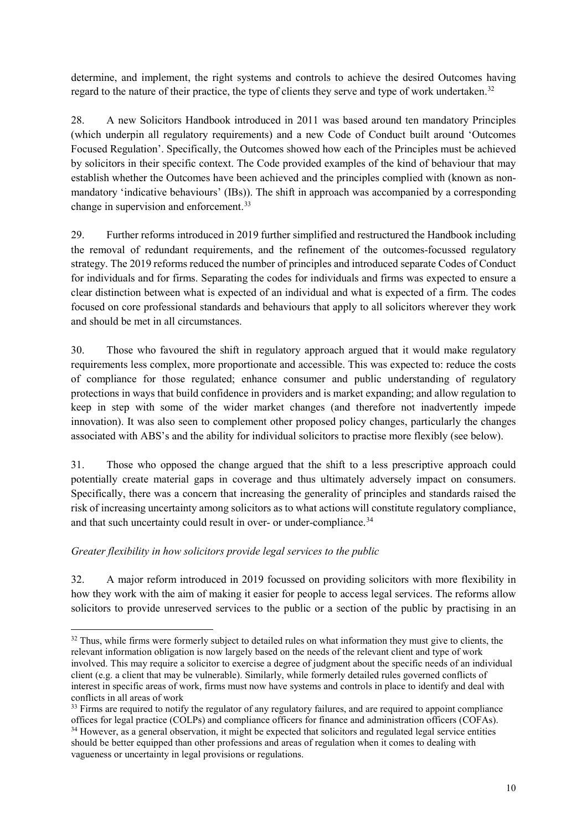determine, and implement, the right systems and controls to achieve the desired Outcomes having regard to the nature of their practice, the type of clients they serve and type of work undertaken.<sup>[32](#page-9-0)</sup>

28. A new Solicitors Handbook introduced in 2011 was based around ten mandatory Principles (which underpin all regulatory requirements) and a new Code of Conduct built around 'Outcomes Focused Regulation'. Specifically, the Outcomes showed how each of the Principles must be achieved by solicitors in their specific context. The Code provided examples of the kind of behaviour that may establish whether the Outcomes have been achieved and the principles complied with (known as nonmandatory 'indicative behaviours' (IBs)). The shift in approach was accompanied by a corresponding change in supervision and enforcement.<sup>[33](#page-9-1)</sup>

29. Further reforms introduced in 2019 further simplified and restructured the Handbook including the removal of redundant requirements, and the refinement of the outcomes-focussed regulatory strategy. The 2019 reforms reduced the number of principles and introduced separate Codes of Conduct for individuals and for firms. Separating the codes for individuals and firms was expected to ensure a clear distinction between what is expected of an individual and what is expected of a firm. The codes focused on core professional standards and behaviours that apply to all solicitors wherever they work and should be met in all circumstances.

30. Those who favoured the shift in regulatory approach argued that it would make regulatory requirements less complex, more proportionate and accessible. This was expected to: reduce the costs of compliance for those regulated; enhance consumer and public understanding of regulatory protections in ways that build confidence in providers and is market expanding; and allow regulation to keep in step with some of the wider market changes (and therefore not inadvertently impede innovation). It was also seen to complement other proposed policy changes, particularly the changes associated with ABS's and the ability for individual solicitors to practise more flexibly (see below).

31. Those who opposed the change argued that the shift to a less prescriptive approach could potentially create material gaps in coverage and thus ultimately adversely impact on consumers. Specifically, there was a concern that increasing the generality of principles and standards raised the risk of increasing uncertainty among solicitors as to what actions will constitute regulatory compliance, and that such uncertainty could result in over- or under-compliance.<sup>[34](#page-9-2)</sup>

## *Greater flexibility in how solicitors provide legal services to the public*

32. A major reform introduced in 2019 focussed on providing solicitors with more flexibility in how they work with the aim of making it easier for people to access legal services. The reforms allow solicitors to provide unreserved services to the public or a section of the public by practising in an

<span id="page-9-0"></span><sup>&</sup>lt;sup>32</sup> Thus, while firms were formerly subject to detailed rules on what information they must give to clients, the relevant information obligation is now largely based on the needs of the relevant client and type of work involved. This may require a solicitor to exercise a degree of judgment about the specific needs of an individual client (e.g. a client that may be vulnerable). Similarly, while formerly detailed rules governed conflicts of interest in specific areas of work, firms must now have systems and controls in place to identify and deal with conflicts in all areas of work

<span id="page-9-2"></span><span id="page-9-1"></span><sup>&</sup>lt;sup>33</sup> Firms are required to notify the regulator of any regulatory failures, and are required to appoint compliance offices for legal practice (COLPs) and compliance officers for finance and administration officers (COFAs). <sup>34</sup> However, as a general observation, it might be expected that solicitors and regulated legal service entities should be better equipped than other professions and areas of regulation when it comes to dealing with vagueness or uncertainty in legal provisions or regulations.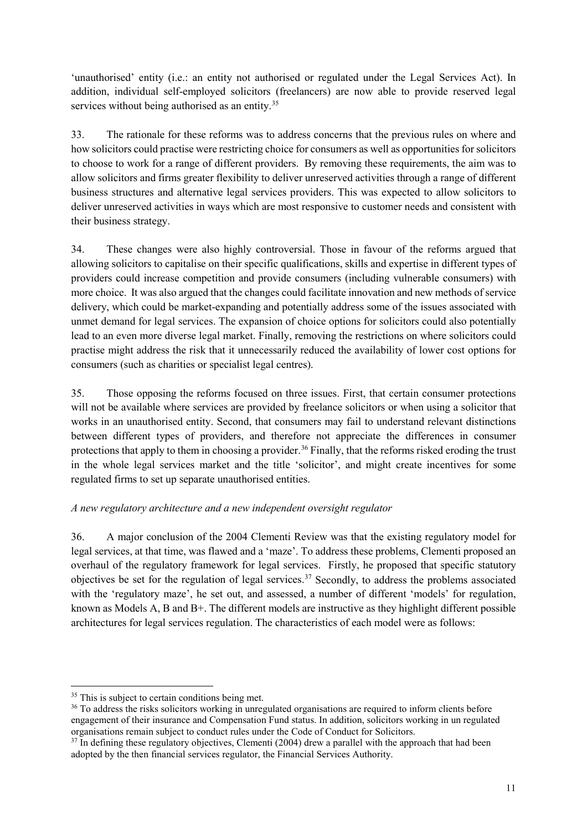'unauthorised' entity (i.e.: an entity not authorised or regulated under the Legal Services Act). In addition, individual self-employed solicitors (freelancers) are now able to provide reserved legal services without being authorised as an entity.<sup>[35](#page-10-0)</sup>

33. The rationale for these reforms was to address concerns that the previous rules on where and how solicitors could practise were restricting choice for consumers as well as opportunities for solicitors to choose to work for a range of different providers. By removing these requirements, the aim was to allow solicitors and firms greater flexibility to deliver unreserved activities through a range of different business structures and alternative legal services providers. This was expected to allow solicitors to deliver unreserved activities in ways which are most responsive to customer needs and consistent with their business strategy.

34. These changes were also highly controversial. Those in favour of the reforms argued that allowing solicitors to capitalise on their specific qualifications, skills and expertise in different types of providers could increase competition and provide consumers (including vulnerable consumers) with more choice. It was also argued that the changes could facilitate innovation and new methods of service delivery, which could be market-expanding and potentially address some of the issues associated with unmet demand for legal services. The expansion of choice options for solicitors could also potentially lead to an even more diverse legal market. Finally, removing the restrictions on where solicitors could practise might address the risk that it unnecessarily reduced the availability of lower cost options for consumers (such as charities or specialist legal centres).

35. Those opposing the reforms focused on three issues. First, that certain consumer protections will not be available where services are provided by freelance solicitors or when using a solicitor that works in an unauthorised entity. Second, that consumers may fail to understand relevant distinctions between different types of providers, and therefore not appreciate the differences in consumer protections that apply to them in choosing a provider.<sup>[36](#page-10-1)</sup> Finally, that the reforms risked eroding the trust in the whole legal services market and the title 'solicitor', and might create incentives for some regulated firms to set up separate unauthorised entities.

## *A new regulatory architecture and a new independent oversight regulator*

36. A major conclusion of the 2004 Clementi Review was that the existing regulatory model for legal services, at that time, was flawed and a 'maze'. To address these problems, Clementi proposed an overhaul of the regulatory framework for legal services. Firstly, he proposed that specific statutory objectives be set for the regulation of legal services.<sup>[37](#page-10-2)</sup> Secondly, to address the problems associated with the 'regulatory maze', he set out, and assessed, a number of different 'models' for regulation, known as Models A, B and B+. The different models are instructive as they highlight different possible architectures for legal services regulation. The characteristics of each model were as follows:

<span id="page-10-0"></span><sup>&</sup>lt;sup>35</sup> This is subject to certain conditions being met.

<span id="page-10-1"></span><sup>&</sup>lt;sup>36</sup> To address the risks solicitors working in unregulated organisations are required to inform clients before engagement of their insurance and Compensation Fund status. In addition, solicitors working in un regulated organisations remain subject to conduct rules under the Code of Conduct for Solicitors.

<span id="page-10-2"></span> $37$  In defining these regulatory objectives, Clementi (2004) drew a parallel with the approach that had been adopted by the then financial services regulator, the Financial Services Authority.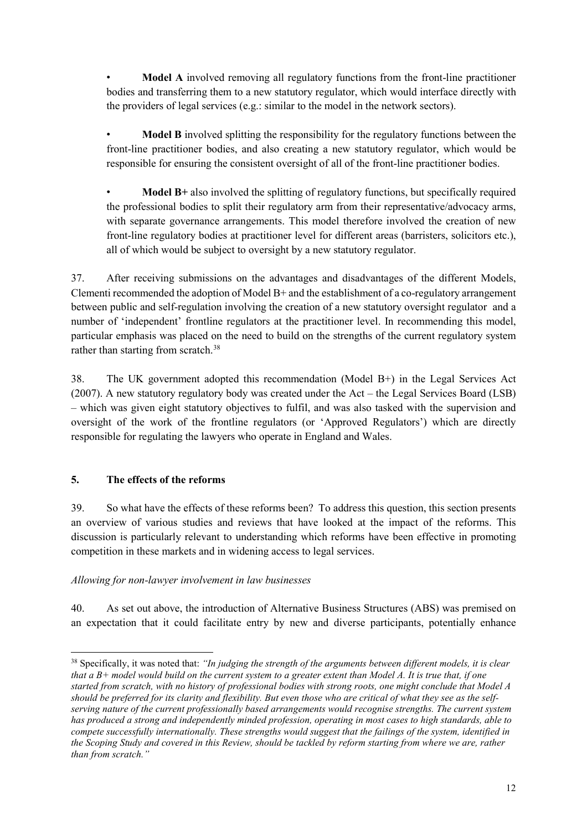**Model A** involved removing all regulatory functions from the front-line practitioner bodies and transferring them to a new statutory regulator, which would interface directly with the providers of legal services (e.g.: similar to the model in the network sectors).

• **Model B** involved splitting the responsibility for the regulatory functions between the front-line practitioner bodies, and also creating a new statutory regulator, which would be responsible for ensuring the consistent oversight of all of the front-line practitioner bodies.

• **Model B+** also involved the splitting of regulatory functions, but specifically required the professional bodies to split their regulatory arm from their representative/advocacy arms, with separate governance arrangements. This model therefore involved the creation of new front-line regulatory bodies at practitioner level for different areas (barristers, solicitors etc.), all of which would be subject to oversight by a new statutory regulator.

37. After receiving submissions on the advantages and disadvantages of the different Models, Clementi recommended the adoption of Model B+ and the establishment of a co-regulatory arrangement between public and self-regulation involving the creation of a new statutory oversight regulator and a number of 'independent' frontline regulators at the practitioner level. In recommending this model, particular emphasis was placed on the need to build on the strengths of the current regulatory system rather than starting from scratch.<sup>[38](#page-11-0)</sup>

38. The UK government adopted this recommendation (Model B+) in the Legal Services Act (2007). A new statutory regulatory body was created under the Act – the Legal Services Board (LSB) – which was given eight statutory objectives to fulfil, and was also tasked with the supervision and oversight of the work of the frontline regulators (or 'Approved Regulators') which are directly responsible for regulating the lawyers who operate in England and Wales.

## **5. The effects of the reforms**

39. So what have the effects of these reforms been? To address this question, this section presents an overview of various studies and reviews that have looked at the impact of the reforms. This discussion is particularly relevant to understanding which reforms have been effective in promoting competition in these markets and in widening access to legal services.

#### *Allowing for non-lawyer involvement in law businesses*

40. As set out above, the introduction of Alternative Business Structures (ABS) was premised on an expectation that it could facilitate entry by new and diverse participants, potentially enhance

<span id="page-11-0"></span> <sup>38</sup> Specifically, it was noted that: *"In judging the strength of the arguments between different models, it is clear that a B+ model would build on the current system to a greater extent than Model A. It is true that, if one started from scratch, with no history of professional bodies with strong roots, one might conclude that Model A should be preferred for its clarity and flexibility. But even those who are critical of what they see as the selfserving nature of the current professionally based arrangements would recognise strengths. The current system has produced a strong and independently minded profession, operating in most cases to high standards, able to compete successfully internationally. These strengths would suggest that the failings of the system, identified in the Scoping Study and covered in this Review, should be tackled by reform starting from where we are, rather than from scratch."*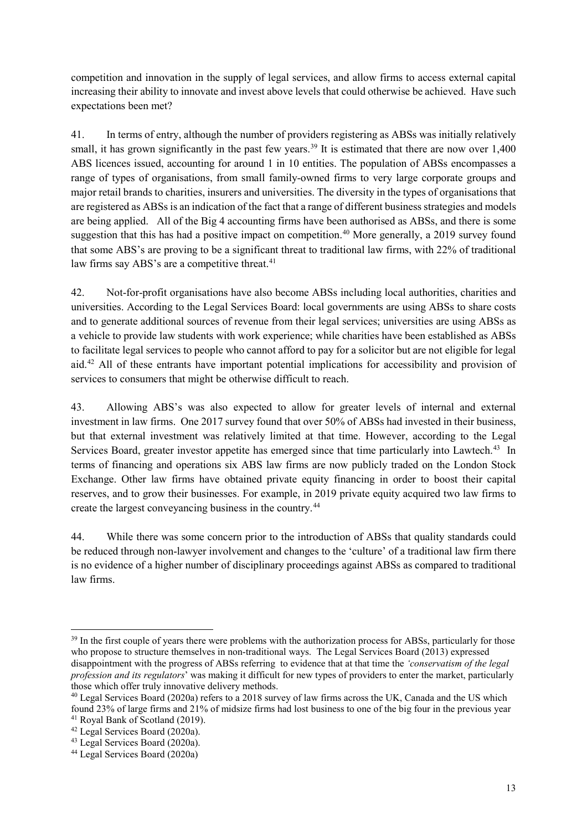competition and innovation in the supply of legal services, and allow firms to access external capital increasing their ability to innovate and invest above levels that could otherwise be achieved. Have such expectations been met?

41. In terms of entry, although the number of providers registering as ABSs was initially relatively small, it has grown significantly in the past few years.<sup>[39](#page-12-0)</sup> It is estimated that there are now over 1,400 ABS licences issued, accounting for around 1 in 10 entities. The population of ABSs encompasses a range of types of organisations, from small family-owned firms to very large corporate groups and major retail brands to charities, insurers and universities. The diversity in the types of organisations that are registered as ABSs is an indication of the fact that a range of different business strategies and models are being applied. All of the Big 4 accounting firms have been authorised as ABSs, and there is some suggestion that this has had a positive impact on competition.<sup>40</sup> More generally, a 2019 survey found that some ABS's are proving to be a significant threat to traditional law firms, with 22% of traditional law firms say ABS's are a competitive threat.<sup>[41](#page-12-2)</sup>

42. Not-for-profit organisations have also become ABSs including local authorities, charities and universities. According to the Legal Services Board: local governments are using ABSs to share costs and to generate additional sources of revenue from their legal services; universities are using ABSs as a vehicle to provide law students with work experience; while charities have been established as ABSs to facilitate legal services to people who cannot afford to pay for a solicitor but are not eligible for legal aid.[42](#page-12-3) All of these entrants have important potential implications for accessibility and provision of services to consumers that might be otherwise difficult to reach.

43. Allowing ABS's was also expected to allow for greater levels of internal and external investment in law firms. One 2017 survey found that over 50% of ABSs had invested in their business, but that external investment was relatively limited at that time. However, according to the Legal Services Board, greater investor appetite has emerged since that time particularly into Lawtech.<sup>[43](#page-12-4)</sup> In terms of financing and operations six ABS law firms are now publicly traded on the London Stock Exchange. Other law firms have obtained private equity financing in order to boost their capital reserves, and to grow their businesses. For example, in 2019 private equity acquired two law firms to create the largest conveyancing business in the country.[44](#page-12-5)

44. While there was some concern prior to the introduction of ABSs that quality standards could be reduced through non-lawyer involvement and changes to the 'culture' of a traditional law firm there is no evidence of a higher number of disciplinary proceedings against ABSs as compared to traditional law firms.

<span id="page-12-0"></span><sup>&</sup>lt;sup>39</sup> In the first couple of years there were problems with the authorization process for ABSs, particularly for those who propose to structure themselves in non-traditional ways. The Legal Services Board (2013) expressed disappointment with the progress of ABSs referring to evidence that at that time the *'conservatism of the legal profession and its regulators*' was making it difficult for new types of providers to enter the market, particularly those which offer truly innovative delivery methods.

<span id="page-12-1"></span><sup>&</sup>lt;sup>40</sup> Legal Services Board (2020a) refers to a 2018 survey of law firms across the UK, Canada and the US which found 23% of large firms and 21% of midsize firms had lost business to one of the big four in the previous year 41 Royal Bank of Scotland (2019).

<span id="page-12-3"></span><span id="page-12-2"></span><sup>42</sup> Legal Services Board (2020a).

<span id="page-12-4"></span><sup>43</sup> Legal Services Board (2020a).

<span id="page-12-5"></span><sup>44</sup> Legal Services Board (2020a)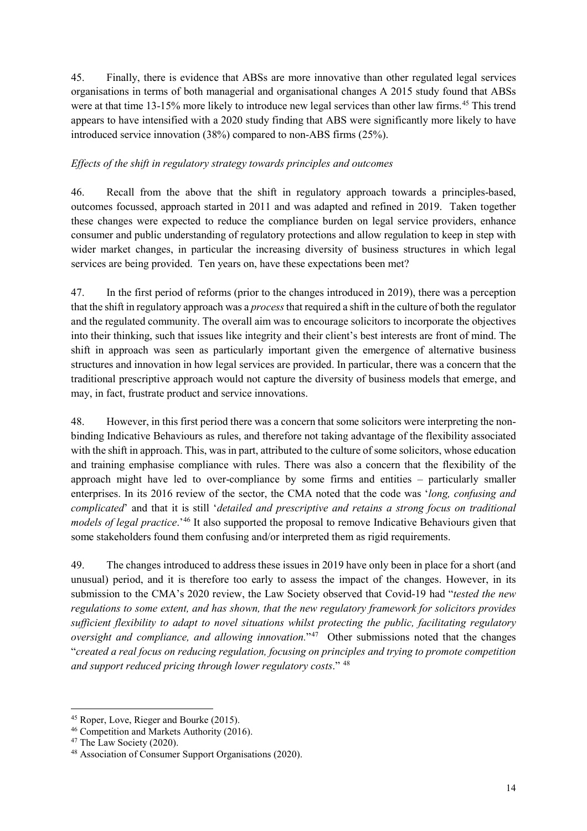45. Finally, there is evidence that ABSs are more innovative than other regulated legal services organisations in terms of both managerial and organisational changes A 2015 study found that ABSs were at that time 13-15% more likely to introduce new legal services than other law firms.<sup>[45](#page-13-0)</sup> This trend appears to have intensified with a 2020 study finding that ABS were significantly more likely to have introduced service innovation (38%) compared to non-ABS firms (25%).

#### *Effects of the shift in regulatory strategy towards principles and outcomes*

46. Recall from the above that the shift in regulatory approach towards a principles-based, outcomes focussed, approach started in 2011 and was adapted and refined in 2019. Taken together these changes were expected to reduce the compliance burden on legal service providers, enhance consumer and public understanding of regulatory protections and allow regulation to keep in step with wider market changes, in particular the increasing diversity of business structures in which legal services are being provided. Ten years on, have these expectations been met?

47. In the first period of reforms (prior to the changes introduced in 2019), there was a perception that the shift in regulatory approach was a *process*that required a shift in the culture of both the regulator and the regulated community. The overall aim was to encourage solicitors to incorporate the objectives into their thinking, such that issues like integrity and their client's best interests are front of mind. The shift in approach was seen as particularly important given the emergence of alternative business structures and innovation in how legal services are provided. In particular, there was a concern that the traditional prescriptive approach would not capture the diversity of business models that emerge, and may, in fact, frustrate product and service innovations.

48. However, in this first period there was a concern that some solicitors were interpreting the nonbinding Indicative Behaviours as rules, and therefore not taking advantage of the flexibility associated with the shift in approach. This, was in part, attributed to the culture of some solicitors, whose education and training emphasise compliance with rules. There was also a concern that the flexibility of the approach might have led to over-compliance by some firms and entities – particularly smaller enterprises. In its 2016 review of the sector, the CMA noted that the code was '*long, confusing and complicated*' and that it is still '*detailed and prescriptive and retains a strong focus on traditional models of legal practice*.'[46](#page-13-1) It also supported the proposal to remove Indicative Behaviours given that some stakeholders found them confusing and/or interpreted them as rigid requirements.

49. The changes introduced to address these issues in 2019 have only been in place for a short (and unusual) period, and it is therefore too early to assess the impact of the changes. However, in its submission to the CMA's 2020 review, the Law Society observed that Covid-19 had "*tested the new regulations to some extent, and has shown, that the new regulatory framework for solicitors provides sufficient flexibility to adapt to novel situations whilst protecting the public, facilitating regulatory oversight and compliance, and allowing innovation.*"<sup>47</sup> Other submissions noted that the changes "*created a real focus on reducing regulation, focusing on principles and trying to promote competition and support reduced pricing through lower regulatory costs*." [48](#page-13-3)

<span id="page-13-0"></span> <sup>45</sup> Roper, Love, Rieger and Bourke (2015).

<span id="page-13-1"></span><sup>46</sup> Competition and Markets Authority (2016).

<span id="page-13-2"></span><sup>&</sup>lt;sup>47</sup> The Law Society (2020).

<span id="page-13-3"></span><sup>48</sup> Association of Consumer Support Organisations (2020).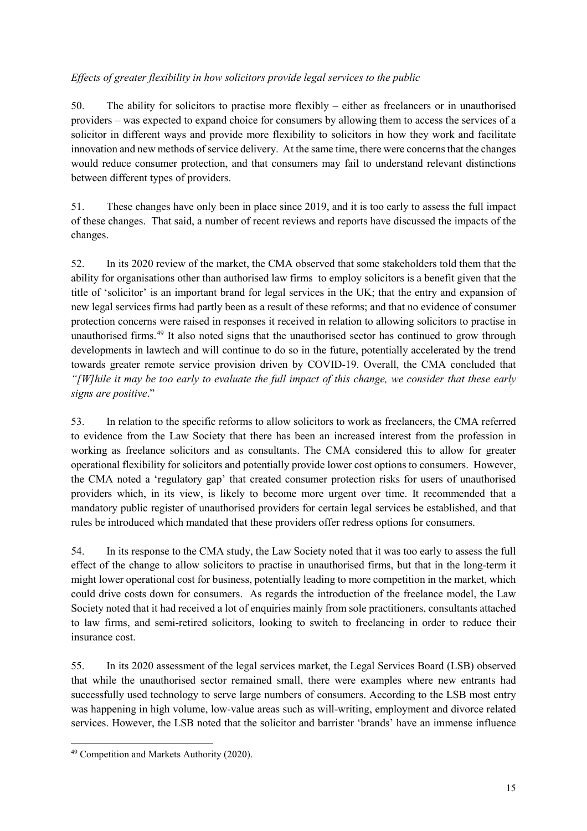## *Effects of greater flexibility in how solicitors provide legal services to the public*

50. The ability for solicitors to practise more flexibly – either as freelancers or in unauthorised providers – was expected to expand choice for consumers by allowing them to access the services of a solicitor in different ways and provide more flexibility to solicitors in how they work and facilitate innovation and new methods of service delivery. At the same time, there were concerns that the changes would reduce consumer protection, and that consumers may fail to understand relevant distinctions between different types of providers.

51. These changes have only been in place since 2019, and it is too early to assess the full impact of these changes. That said, a number of recent reviews and reports have discussed the impacts of the changes.

52. In its 2020 review of the market, the CMA observed that some stakeholders told them that the ability for organisations other than authorised law firms to employ solicitors is a benefit given that the title of 'solicitor' is an important brand for legal services in the UK; that the entry and expansion of new legal services firms had partly been as a result of these reforms; and that no evidence of consumer protection concerns were raised in responses it received in relation to allowing solicitors to practise in unauthorised firms.<sup>[49](#page-14-0)</sup> It also noted signs that the unauthorised sector has continued to grow through developments in lawtech and will continue to do so in the future, potentially accelerated by the trend towards greater remote service provision driven by COVID-19. Overall, the CMA concluded that *"[W]hile it may be too early to evaluate the full impact of this change, we consider that these early signs are positive*."

53. In relation to the specific reforms to allow solicitors to work as freelancers, the CMA referred to evidence from the Law Society that there has been an increased interest from the profession in working as freelance solicitors and as consultants. The CMA considered this to allow for greater operational flexibility for solicitors and potentially provide lower cost options to consumers. However, the CMA noted a 'regulatory gap' that created consumer protection risks for users of unauthorised providers which, in its view, is likely to become more urgent over time. It recommended that a mandatory public register of unauthorised providers for certain legal services be established, and that rules be introduced which mandated that these providers offer redress options for consumers.

54. In its response to the CMA study, the Law Society noted that it was too early to assess the full effect of the change to allow solicitors to practise in unauthorised firms, but that in the long-term it might lower operational cost for business, potentially leading to more competition in the market, which could drive costs down for consumers. As regards the introduction of the freelance model, the Law Society noted that it had received a lot of enquiries mainly from sole practitioners, consultants attached to law firms, and semi-retired solicitors, looking to switch to freelancing in order to reduce their insurance cost.

55. In its 2020 assessment of the legal services market, the Legal Services Board (LSB) observed that while the unauthorised sector remained small, there were examples where new entrants had successfully used technology to serve large numbers of consumers. According to the LSB most entry was happening in high volume, low-value areas such as will-writing, employment and divorce related services. However, the LSB noted that the solicitor and barrister 'brands' have an immense influence

<span id="page-14-0"></span> <sup>49</sup> Competition and Markets Authority (2020).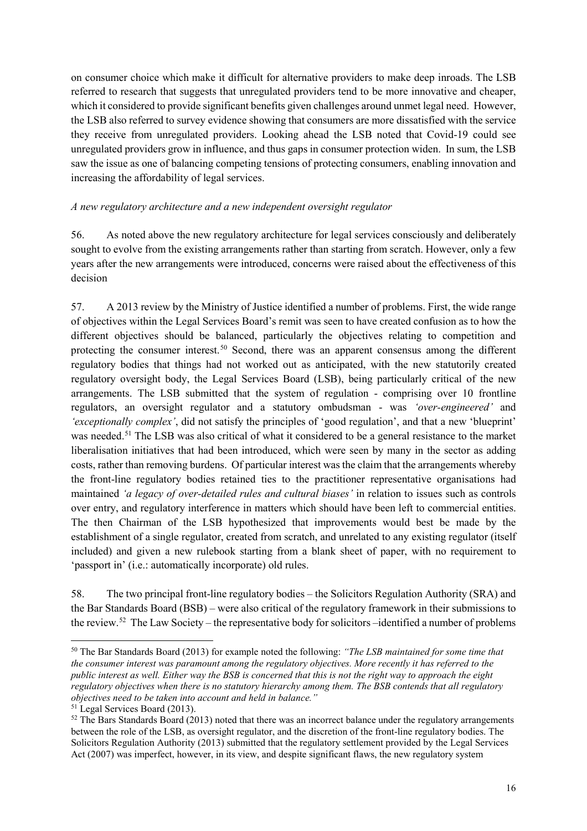on consumer choice which make it difficult for alternative providers to make deep inroads. The LSB referred to research that suggests that unregulated providers tend to be more innovative and cheaper, which it considered to provide significant benefits given challenges around unmet legal need. However, the LSB also referred to survey evidence showing that consumers are more dissatisfied with the service they receive from unregulated providers. Looking ahead the LSB noted that Covid-19 could see unregulated providers grow in influence, and thus gaps in consumer protection widen. In sum, the LSB saw the issue as one of balancing competing tensions of protecting consumers, enabling innovation and increasing the affordability of legal services.

#### *A new regulatory architecture and a new independent oversight regulator*

56. As noted above the new regulatory architecture for legal services consciously and deliberately sought to evolve from the existing arrangements rather than starting from scratch. However, only a few years after the new arrangements were introduced, concerns were raised about the effectiveness of this decision

57. A 2013 review by the Ministry of Justice identified a number of problems. First, the wide range of objectives within the Legal Services Board's remit was seen to have created confusion as to how the different objectives should be balanced, particularly the objectives relating to competition and protecting the consumer interest.<sup>[50](#page-15-0)</sup> Second, there was an apparent consensus among the different regulatory bodies that things had not worked out as anticipated, with the new statutorily created regulatory oversight body, the Legal Services Board (LSB), being particularly critical of the new arrangements. The LSB submitted that the system of regulation - comprising over 10 frontline regulators, an oversight regulator and a statutory ombudsman - was *'over-engineered'* and *'exceptionally complex'*, did not satisfy the principles of 'good regulation', and that a new 'blueprint' was needed.<sup>51</sup> The LSB was also critical of what it considered to be a general resistance to the market liberalisation initiatives that had been introduced, which were seen by many in the sector as adding costs, rather than removing burdens. Of particular interest was the claim that the arrangements whereby the front-line regulatory bodies retained ties to the practitioner representative organisations had maintained *'a legacy of over-detailed rules and cultural biases'* in relation to issues such as controls over entry, and regulatory interference in matters which should have been left to commercial entities. The then Chairman of the LSB hypothesized that improvements would best be made by the establishment of a single regulator, created from scratch, and unrelated to any existing regulator (itself included) and given a new rulebook starting from a blank sheet of paper, with no requirement to 'passport in' (i.e.: automatically incorporate) old rules.

58. The two principal front-line regulatory bodies – the Solicitors Regulation Authority (SRA) and the Bar Standards Board (BSB) – were also critical of the regulatory framework in their submissions to the review.[52](#page-15-2) The Law Society – the representative body for solicitors –identified a number of problems

<span id="page-15-0"></span> <sup>50</sup> The Bar Standards Board (2013) for example noted the following: *"The LSB maintained for some time that the consumer interest was paramount among the regulatory objectives. More recently it has referred to the public interest as well. Either way the BSB is concerned that this is not the right way to approach the eight regulatory objectives when there is no statutory hierarchy among them. The BSB contends that all regulatory objectives need to be taken into account and held in balance."* 

<span id="page-15-1"></span>

<span id="page-15-2"></span> $52$  The Bars Standards Board (2013) noted that there was an incorrect balance under the regulatory arrangements between the role of the LSB, as oversight regulator, and the discretion of the front-line regulatory bodies. The Solicitors Regulation Authority (2013) submitted that the regulatory settlement provided by the Legal Services Act (2007) was imperfect, however, in its view, and despite significant flaws, the new regulatory system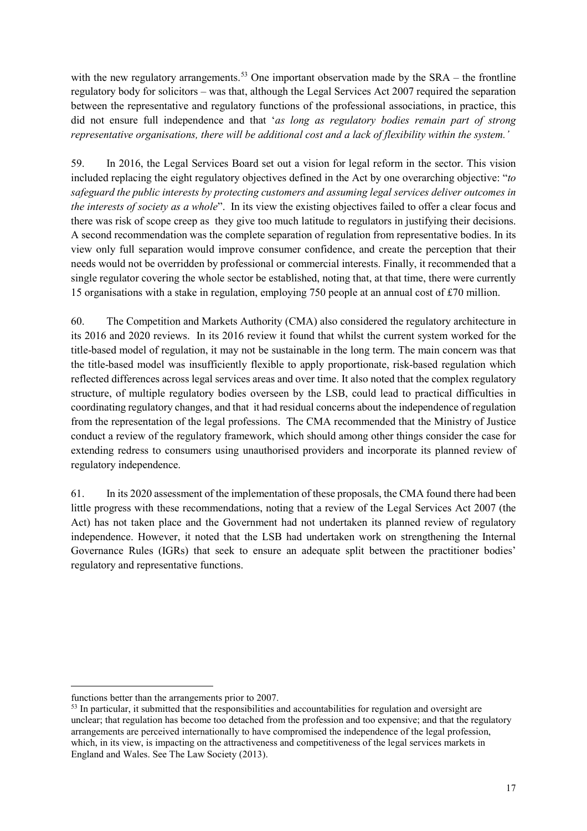with the new regulatory arrangements.<sup>[53](#page-16-0)</sup> One important observation made by the  $SRA$  – the frontline regulatory body for solicitors – was that, although the Legal Services Act 2007 required the separation between the representative and regulatory functions of the professional associations, in practice, this did not ensure full independence and that '*as long as regulatory bodies remain part of strong representative organisations, there will be additional cost and a lack of flexibility within the system.'*

59. In 2016, the Legal Services Board set out a vision for legal reform in the sector. This vision included replacing the eight regulatory objectives defined in the Act by one overarching objective: "*to safeguard the public interests by protecting customers and assuming legal services deliver outcomes in the interests of society as a whole*". In its view the existing objectives failed to offer a clear focus and there was risk of scope creep as they give too much latitude to regulators in justifying their decisions. A second recommendation was the complete separation of regulation from representative bodies. In its view only full separation would improve consumer confidence, and create the perception that their needs would not be overridden by professional or commercial interests. Finally, it recommended that a single regulator covering the whole sector be established, noting that, at that time, there were currently 15 organisations with a stake in regulation, employing 750 people at an annual cost of £70 million.

60. The Competition and Markets Authority (CMA) also considered the regulatory architecture in its 2016 and 2020 reviews. In its 2016 review it found that whilst the current system worked for the title-based model of regulation, it may not be sustainable in the long term. The main concern was that the title-based model was insufficiently flexible to apply proportionate, risk-based regulation which reflected differences across legal services areas and over time. It also noted that the complex regulatory structure, of multiple regulatory bodies overseen by the LSB, could lead to practical difficulties in coordinating regulatory changes, and that it had residual concerns about the independence of regulation from the representation of the legal professions. The CMA recommended that the Ministry of Justice conduct a review of the regulatory framework, which should among other things consider the case for extending redress to consumers using unauthorised providers and incorporate its planned review of regulatory independence.

61. In its 2020 assessment of the implementation of these proposals, the CMA found there had been little progress with these recommendations, noting that a review of the Legal Services Act 2007 (the Act) has not taken place and the Government had not undertaken its planned review of regulatory independence. However, it noted that the LSB had undertaken work on strengthening the Internal Governance Rules (IGRs) that seek to ensure an adequate split between the practitioner bodies' regulatory and representative functions.

 $\overline{a}$ 

functions better than the arrangements prior to 2007.

<span id="page-16-0"></span><sup>&</sup>lt;sup>53</sup> In particular, it submitted that the responsibilities and accountabilities for regulation and oversight are unclear; that regulation has become too detached from the profession and too expensive; and that the regulatory arrangements are perceived internationally to have compromised the independence of the legal profession, which, in its view, is impacting on the attractiveness and competitiveness of the legal services markets in England and Wales. See The Law Society (2013).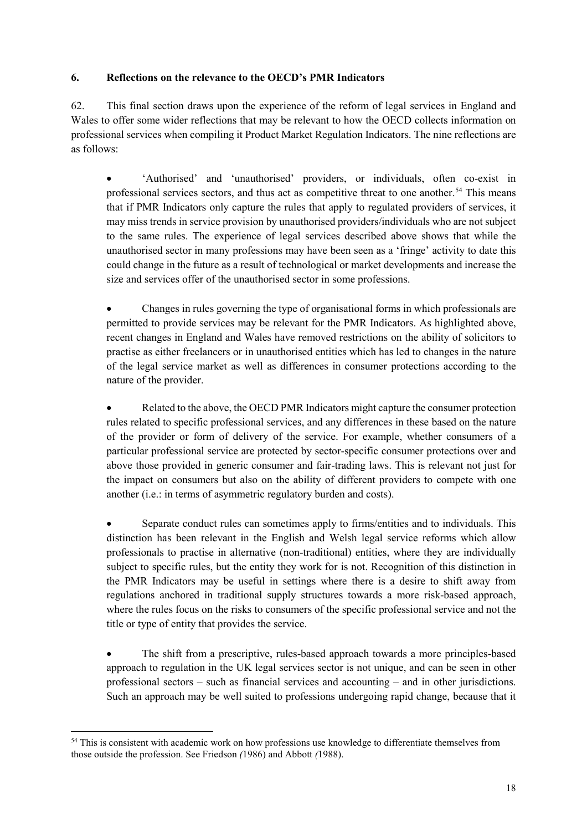#### **6. Reflections on the relevance to the OECD's PMR Indicators**

62. This final section draws upon the experience of the reform of legal services in England and Wales to offer some wider reflections that may be relevant to how the OECD collects information on professional services when compiling it Product Market Regulation Indicators. The nine reflections are as follows:

• 'Authorised' and 'unauthorised' providers, or individuals, often co-exist in professional services sectors, and thus act as competitive threat to one another.[54](#page-17-0) This means that if PMR Indicators only capture the rules that apply to regulated providers of services, it may miss trends in service provision by unauthorised providers/individuals who are not subject to the same rules. The experience of legal services described above shows that while the unauthorised sector in many professions may have been seen as a 'fringe' activity to date this could change in the future as a result of technological or market developments and increase the size and services offer of the unauthorised sector in some professions.

• Changes in rules governing the type of organisational forms in which professionals are permitted to provide services may be relevant for the PMR Indicators. As highlighted above, recent changes in England and Wales have removed restrictions on the ability of solicitors to practise as either freelancers or in unauthorised entities which has led to changes in the nature of the legal service market as well as differences in consumer protections according to the nature of the provider.

• Related to the above, the OECD PMR Indicators might capture the consumer protection rules related to specific professional services, and any differences in these based on the nature of the provider or form of delivery of the service. For example, whether consumers of a particular professional service are protected by sector-specific consumer protections over and above those provided in generic consumer and fair-trading laws. This is relevant not just for the impact on consumers but also on the ability of different providers to compete with one another (i.e.: in terms of asymmetric regulatory burden and costs).

• Separate conduct rules can sometimes apply to firms/entities and to individuals. This distinction has been relevant in the English and Welsh legal service reforms which allow professionals to practise in alternative (non-traditional) entities, where they are individually subject to specific rules, but the entity they work for is not. Recognition of this distinction in the PMR Indicators may be useful in settings where there is a desire to shift away from regulations anchored in traditional supply structures towards a more risk-based approach, where the rules focus on the risks to consumers of the specific professional service and not the title or type of entity that provides the service.

• The shift from a prescriptive, rules-based approach towards a more principles-based approach to regulation in the UK legal services sector is not unique, and can be seen in other professional sectors – such as financial services and accounting – and in other jurisdictions. Such an approach may be well suited to professions undergoing rapid change, because that it

<span id="page-17-0"></span><sup>&</sup>lt;sup>54</sup> This is consistent with academic work on how professions use knowledge to differentiate themselves from those outside the profession. See Friedson *(*1986) and Abbott *(*1988).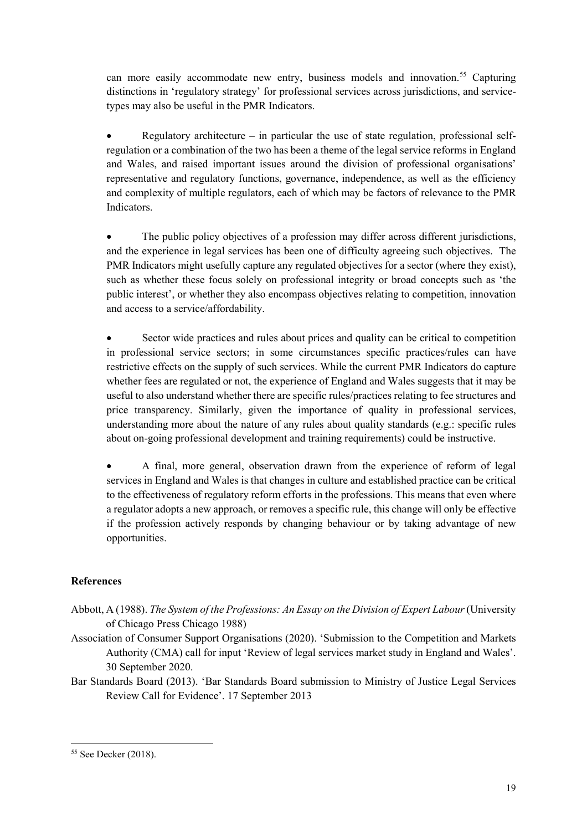can more easily accommodate new entry, business models and innovation.<sup>[55](#page-18-0)</sup> Capturing distinctions in 'regulatory strategy' for professional services across jurisdictions, and servicetypes may also be useful in the PMR Indicators.

Regulatory architecture – in particular the use of state regulation, professional selfregulation or a combination of the two has been a theme of the legal service reforms in England and Wales, and raised important issues around the division of professional organisations' representative and regulatory functions, governance, independence, as well as the efficiency and complexity of multiple regulators, each of which may be factors of relevance to the PMR Indicators.

• The public policy objectives of a profession may differ across different jurisdictions, and the experience in legal services has been one of difficulty agreeing such objectives. The PMR Indicators might usefully capture any regulated objectives for a sector (where they exist), such as whether these focus solely on professional integrity or broad concepts such as 'the public interest', or whether they also encompass objectives relating to competition, innovation and access to a service/affordability.

• Sector wide practices and rules about prices and quality can be critical to competition in professional service sectors; in some circumstances specific practices/rules can have restrictive effects on the supply of such services. While the current PMR Indicators do capture whether fees are regulated or not, the experience of England and Wales suggests that it may be useful to also understand whether there are specific rules/practices relating to fee structures and price transparency. Similarly, given the importance of quality in professional services, understanding more about the nature of any rules about quality standards (e.g.: specific rules about on-going professional development and training requirements) could be instructive.

• A final, more general, observation drawn from the experience of reform of legal services in England and Wales is that changes in culture and established practice can be critical to the effectiveness of regulatory reform efforts in the professions. This means that even where a regulator adopts a new approach, or removes a specific rule, this change will only be effective if the profession actively responds by changing behaviour or by taking advantage of new opportunities.

## **References**

- Abbott, A (1988). *The System of the Professions: An Essay on the Division of Expert Labour*(University of Chicago Press Chicago 1988)
- Association of Consumer Support Organisations (2020). 'Submission to the Competition and Markets Authority (CMA) call for input 'Review of legal services market study in England and Wales'. 30 September 2020.
- Bar Standards Board (2013). 'Bar Standards Board submission to Ministry of Justice Legal Services Review Call for Evidence'. 17 September 2013

<span id="page-18-0"></span><sup>&</sup>lt;sup>55</sup> See Decker (2018).